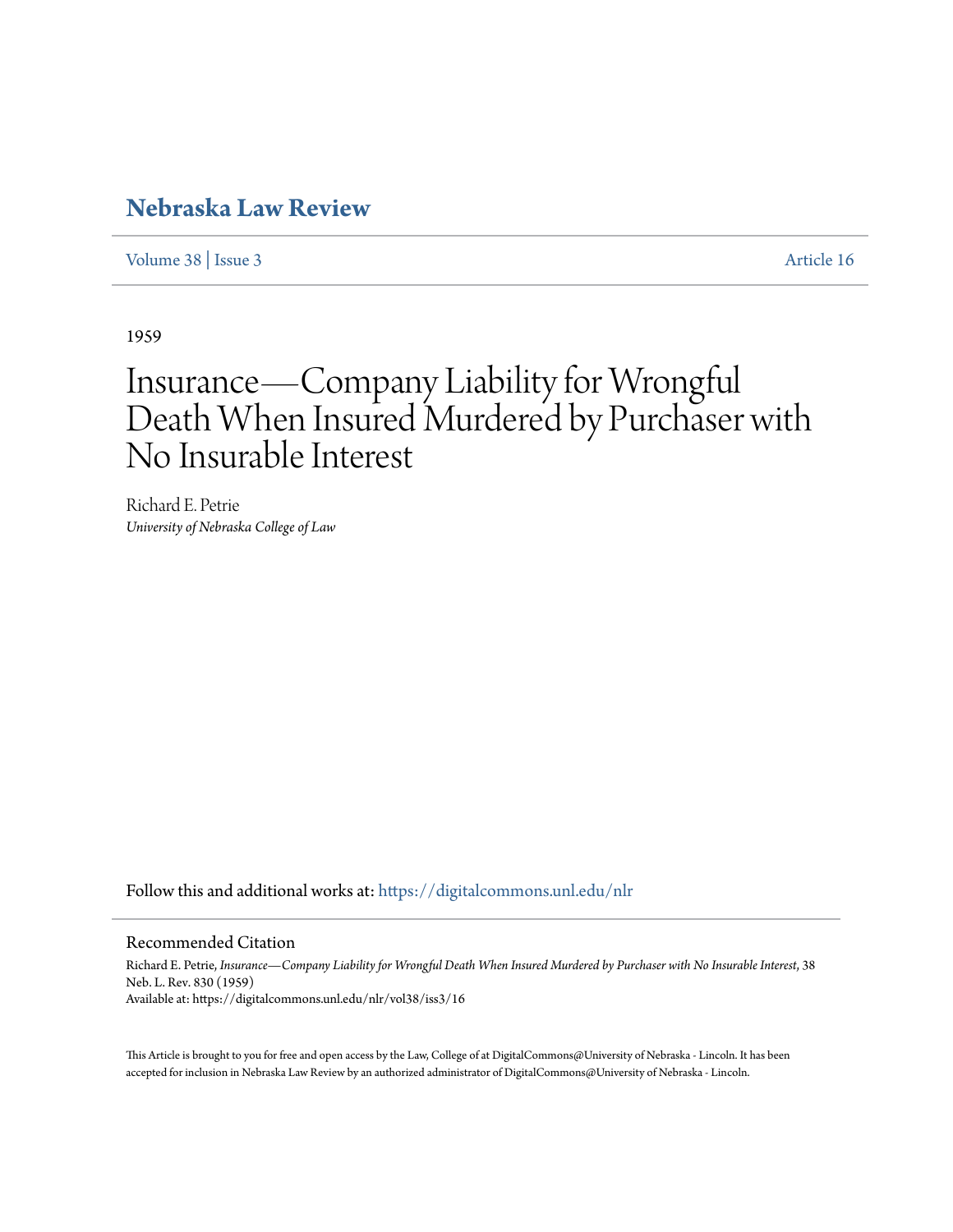## **[Nebraska Law Review](https://digitalcommons.unl.edu/nlr?utm_source=digitalcommons.unl.edu%2Fnlr%2Fvol38%2Fiss3%2F16&utm_medium=PDF&utm_campaign=PDFCoverPages)**

[Volume 38](https://digitalcommons.unl.edu/nlr/vol38?utm_source=digitalcommons.unl.edu%2Fnlr%2Fvol38%2Fiss3%2F16&utm_medium=PDF&utm_campaign=PDFCoverPages) | [Issue 3](https://digitalcommons.unl.edu/nlr/vol38/iss3?utm_source=digitalcommons.unl.edu%2Fnlr%2Fvol38%2Fiss3%2F16&utm_medium=PDF&utm_campaign=PDFCoverPages) [Article 16](https://digitalcommons.unl.edu/nlr/vol38/iss3/16?utm_source=digitalcommons.unl.edu%2Fnlr%2Fvol38%2Fiss3%2F16&utm_medium=PDF&utm_campaign=PDFCoverPages)

1959

# Insurance—Company Liability for Wrongful Death When Insured Murdered by Purchaser with No Insurable Interest

Richard E. Petrie *University of Nebraska College of Law*

Follow this and additional works at: [https://digitalcommons.unl.edu/nlr](https://digitalcommons.unl.edu/nlr?utm_source=digitalcommons.unl.edu%2Fnlr%2Fvol38%2Fiss3%2F16&utm_medium=PDF&utm_campaign=PDFCoverPages)

#### Recommended Citation

Richard E. Petrie, *Insurance—Company Liability for Wrongful Death When Insured Murdered by Purchaser with No Insurable Interest*, 38 Neb. L. Rev. 830 (1959) Available at: https://digitalcommons.unl.edu/nlr/vol38/iss3/16

This Article is brought to you for free and open access by the Law, College of at DigitalCommons@University of Nebraska - Lincoln. It has been accepted for inclusion in Nebraska Law Review by an authorized administrator of DigitalCommons@University of Nebraska - Lincoln.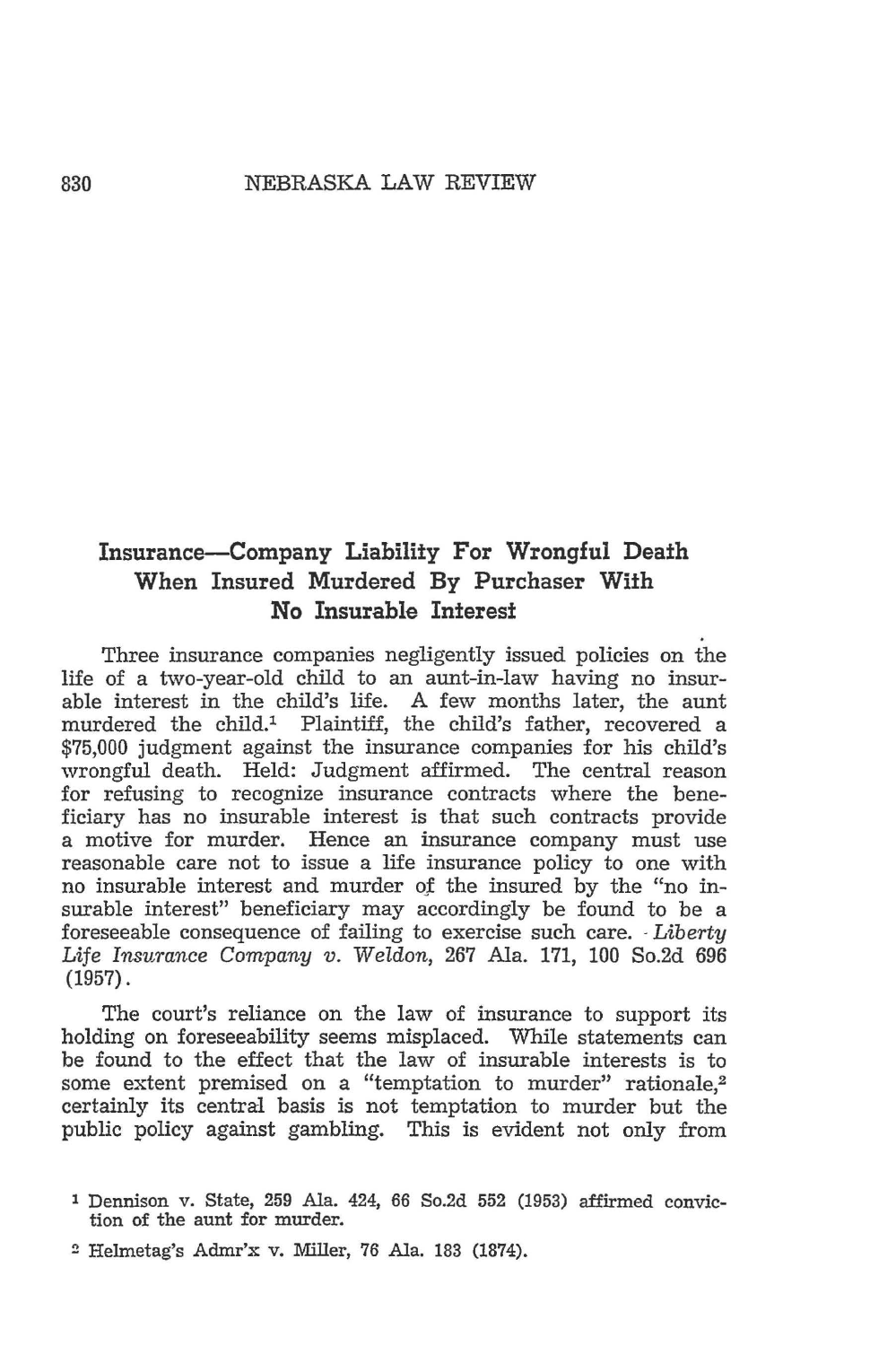#### 830 NEBRASKA LAW REVIEW

### **Insurance-Company Liability For Wrongful Death When Insured Murdered By Purchaser Wi:th No Insurable In:teres:t**

Three insurance companies negligently issued policies on the life of a two-year-old child to an aunt-in-law having no insurable interest in the child's life. A few months later, the aunt murdered the child.1 Plaintiff, the child's father, recovered a \$75,000 judgment against the insurance companies for his child's wrongful death. Held: Judgment affirmed. The central reason for refusing to recognize insurance contracts where the beneficiary has no insurable interest is that such contracts provide a motive for murder. Hence an insurance company must use reasonable care not to issue a life insurance policy to one with no insurable interest and murder of the insured by the "no insurable interest" beneficiary may accordingly be found to be a foreseeable consequence of failing to exercise such care. -*Liberty*  Life *Insurance Company v.* Weldon, 267 Ala. 171, 100 So.2d 696 (1957).

The court's reliance on the law of insurance to support its holding on foreseeability seems misplaced. While statements can be found to the effect that the law of insurable interests is to some extent premised on a "temptation to murder" rationale,<sup>2</sup> certainly its central basis is not temptation to murder but the public policy against gambling. This is evident not only from

l Dennison v. State, 259 Ala. 424, 66 So.2d 552 (1953) affirmed conviction of the aunt for murder.

<sup>2</sup> Helmetag's Admr'x v. Miller, 76 Ala. 183 (1874).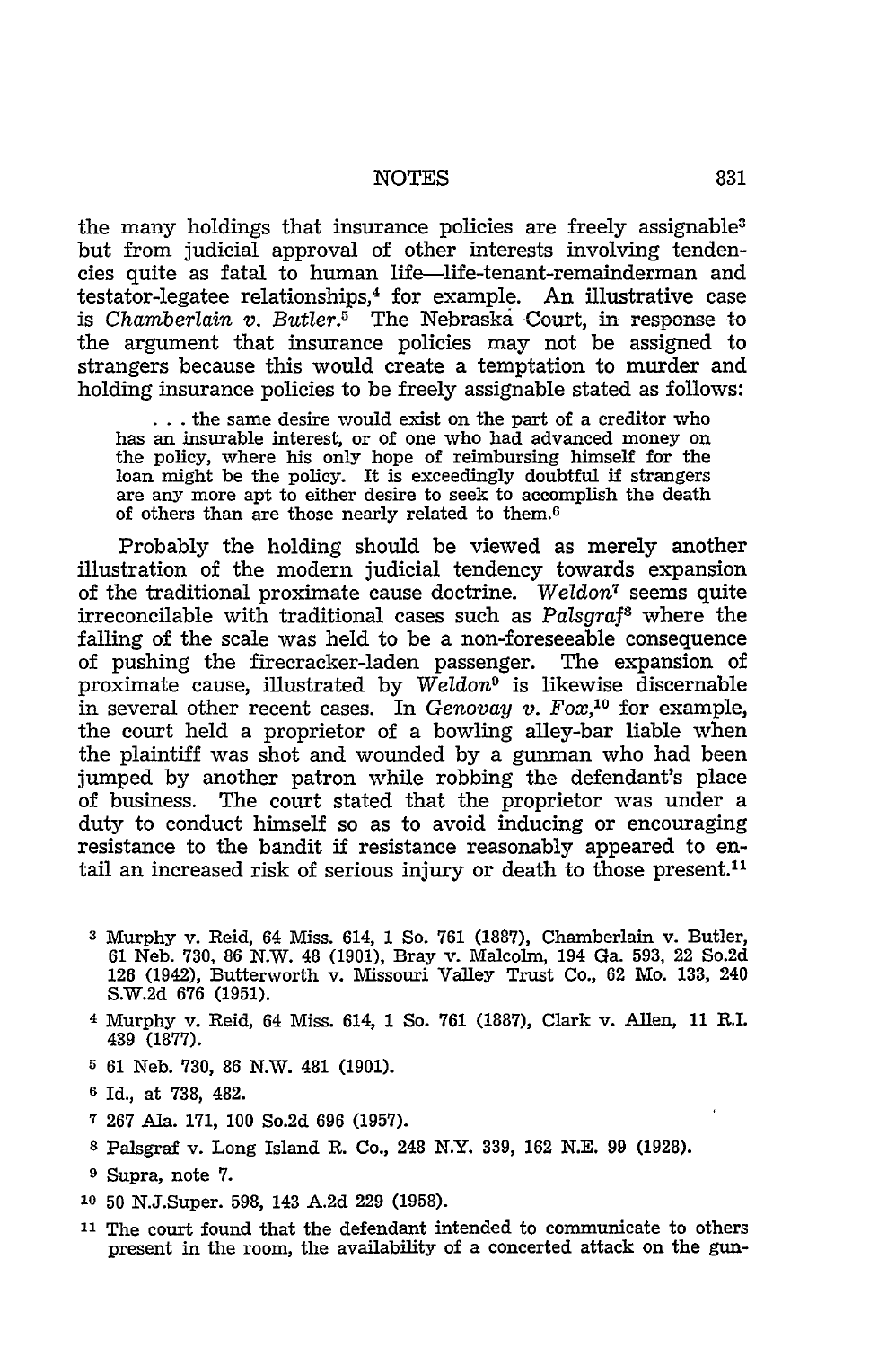#### NOTES 831

the many holdings that insurance policies are freely assignable<sup>3</sup> but from judicial approval of other interests involving tendencies quite as fatal to human life-life-tenant-remainderman and testator-legatee relationships,4 for example. An illustrative case is *Chamberlain v. Butler.*<sup>5</sup> The Nebraska Court, in response to the argument that insurance policies may not be assigned to strangers because this would create a temptation to murder and holding insurance policies to be freely assignable stated as follows:

... the same desire would exist on the part of a creditor who has an insurable interest, or of one who had advanced money on has an insurable interest, or of one who had advanced money on the policy, where his only hope of reimbursing himself for the loan might be the policy. It is exceedingly doubtful if strangers are any more apt to either desire to seek to accomplish the death of others than are those nearly related to them.6

Probably the holding should be viewed as merely another illustration of the modern judicial tendency towards expansion of the traditional proximate cause doctrine. *Weldon7* seems quite irreconcilable with traditional cases such as *Palsgraf8* where the falling of the scale was held to be a non-foreseeable consequence of pushing the firecracker-laden passenger. The expansion of proximate cause, illustrated by *W eldon9* is likewise discernable in several other recent cases. In *Genovay v. Fox,* 10 for example, the court held a proprietor of a bowling alley-bar liable when the plaintiff was shot and wounded by a gunman who had been jumped by another patron while robbing the defendant's place of business. The court stated that the proprietor was under a duty to conduct himself so as to avoid inducing or encouraging resistance to the bandit if resistance reasonably appeared to entail an increased risk of serious injury or death to those present.<sup>11</sup>

- a Murphy v. Reid, 64 Miss. 614, 1 So. 761 (1887), Chamberlain v. Butler, 61 Neb. 730, 86 N.W. 48 (1901), Bray v. Malcolm, 194 Ga. 593, 22 So.2d 126 (1942), Butterworth v. Missouri Valley Trust Co., 62 Mo. 133, 240 S.W.2d 676 (1951).
- <sup>4</sup>Murphy v. Reid, 64 Miss. 614, 1 So. 761 (1887), Clark v. Allen, 11 R.I. 439 (1877).
- 0 61 Neb. 730, 86 N.W. 481 (1901).
- 6 Id., at 738, 482.
- 7 267 Ala. 171, 100 So.2d 696 (1957).
- s Palsgraf v. Long Island R. Co., 248 N.Y. 339, 162 N.E. 99 (1928).
- 9 Supra, note 7.
- lo 50 N.J.Super. 598, 143 A.2d 229 (1958).
- 11 The court found that the defendant intended to communicate to others present in the room, the availability of a concerted attack on the gun-